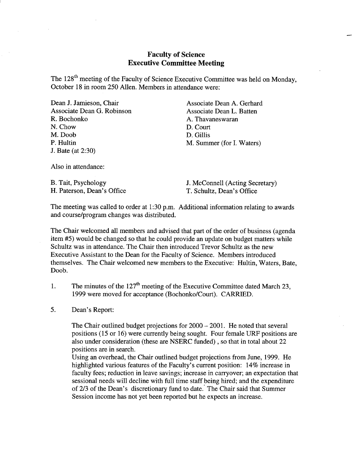# **Faculty of Science Executive Committee Meeting**

The 128<sup>th</sup> meeting of the Faculty of Science Executive Committee was held on Monday, October 18 in room 250 Allen. Members in attendance were:

| Dean J. Jamieson, Chair    | Associate Dean A. Gerhard |
|----------------------------|---------------------------|
| Associate Dean G. Robinson | Associate Dean L. Batten  |
| R. Bochonko                | A. Thavaneswaran          |
| N. Chow                    | D. Court                  |
| M. Doob                    | D. Gillis                 |
| P. Hultin                  | M. Summer (for I. Waters) |
| J. Bate (at 2:30)          |                           |
|                            |                           |

Also in attendance:

H. Paterson, Dean's Office T. Schultz, Dean's Office

B. Tait, Psychology J. McConnell (Acting Secretary)

The meeting was called to order at 1:30 p.m. Additional information relating to awards and course/program changes was distributed.

The Chair welcomed all members and advised that part of the order of business (agenda item #5) would be changed so that he could provide an update on budget matters while Schultz was in attendance. The Chair then introduced Trevor Schultz as the new Executive Assistant to the Dean for the Faculty of Science. Members introduced themselves. The Chair welcomed new members to the Executive: Hultin, Waters, Bate, Doob.

- The minutes of the  $127<sup>th</sup>$  meeting of the Executive Committee dated March 23, 1. 1999 were moved for acceptance (Bochonko/Court). CARRIED.
- 5. Dean's Report:

The Chair outlined budget projections for 2000 – 2001. He noted that several positions *(15* or 16) were currently being sought. Four female URF positions are also under consideration (these are NSERC funded) , so that in total about 22 positions are in search.

Using an overhead, the Chair outlined budget projections from June, 1999. He highlighted various features of the Faculty's current position: 14% increase in faculty fees; reduction in leave savings; increase in carryover; an expectation that sessional needs will decline with full time staff being hired; and the expenditure of 2/3 of the Dean's discretionary fund to date. The Chair said that Summer Session income has not yet been reported but he expects an increase.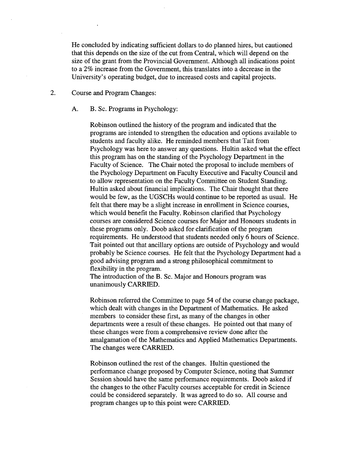He concluded by indicating sufficient dollars to do planned hires, but cautioned that this depends on the size of the cut from Central, which will depend on the size of the grant from the Provincial Government. Although all indications point to a 2% increase from the Government, this translates into a decrease in the University's operating budget, due to increased costs and capital projects.

2. Course and Program Changes:

A. B. Sc. Programs in Psychology:

Robinson outlined the history of the program and indicated that the programs are intended to strengthen the education and options available to students and faculty alike. He reminded members that Tait from Psychology was here to answer any questions. Hultin asked what the effect this program has on the standing of the Psychology Department in the Faculty of Science. The Chair noted the proposal to include members of the Psychology Department on Faculty Executive and Faculty Council and to allow representation on the Faculty Committee on Student Standing. Hultin asked about financial implications. The Chair thought that there would be few, as the UGSCHs would continue to be reported as usual. He felt that there may be a slight increase in enrollment in Science courses, which would benefit the Faculty. Robinson clarified that Psychology courses are considered Science courses for Major and Honours students in these programs only. Doob asked for clarification of the program requirements. He understood that students needed only 6 hours of Science. Tait pointed out that ancillary options are outside of Psychology and would probably be Science courses. He felt that the Psychology Department had a good advising program and a strong philosophical commitment to flexibility in the program.

The introduction of the B. Sc. Major and Honours program was unanimously CARRIED.

Robinson referred the Committee to page *54* of the course change package, which dealt with changes in the Department of Mathematics. He asked members to consider these first, as many of the changes in other departments were a result of these changes. He pointed out that many of these changes were from a comprehensive review done after the amalgamation of the Mathematics and Applied Mathematics Departments. The changes were CARRIED.

Robinson outlined the rest of the changes. Hultin questioned the performance change proposed by Computer Science, noting that Summer Session should have the same performance requirements. Doob asked if the changes to the other Faculty courses acceptable for credit in Science could be considered separately. It was agreed to do so. All course and program changes up to this point were CARRIED.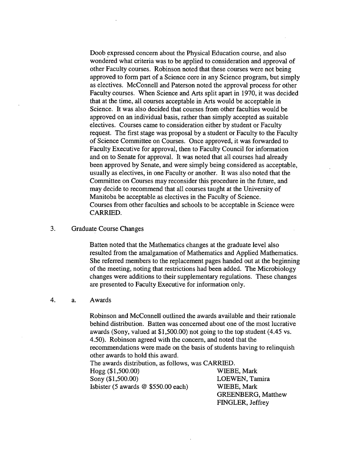Doob expressed concern about the Physical Education course, and also wondered what criteria was to be applied to consideration and approval of other Faculty courses. Robinson noted that these courses were not being approved to form part of a Science core in any Science program, but simply as electives. McConnell and Paterson noted the approval process for other Faculty courses. When Science and Arts split apart in 1970, it was decided that at the time, all courses acceptable in Arts would be acceptable in Science. It was also decided that courses from other faculties would be approved on an individual basis, rather than simply accepted as suitable electives. Courses came to consideration either by student or Faculty request. The first stage was proposal by a student or Faculty to the Faculty of Science Committee on Courses. Once approved, it was forwarded to Faculty Executive for approval, then to Faculty Council for information and on to Senate for approval. It was noted that all courses had already been approved by Senate, and were simply being considered as acceptable, usually as electives, in one Faculty or another. It was also noted that the Committee on Courses may reconsider this procedure in the future, and may decide to recommend that all courses taught at the University of Manitoba be acceptable as electives in the Faculty of Science. Courses from other faculties and schools to be acceptable in Science were CARRIED.

### 3. Graduate Course Changes

Batten noted that the Mathematics changes at the graduate level also resulted from the amalgamation of Mathematics and Applied Mathematics. She referred members to the replacement pages handed out at the beginning of the meeting, noting that restrictions had been added. The Microbiology changes were additions to their supplementary regulations. These changes are presented to Faculty Executive for information only.

#### 4. a. Awards

Robinson and McConnell outlined the awards available and their rationale behind distribution. Batten was concerned about one of the most lucrative awards (Sony, valued at \$1,500.00) not going to the top student *(4.45* vs. 4.50). Robinson agreed with the concern, and noted that the recommendations were made on the basis of students having to relinquish other awards to hold this award. The awards distribution, as follows, was CARRIED. *Hogg (\$1,500.00)*  Sony (\$1,500.00) Isbister *(5* awards @ *\$550.00* each) WIEBE, Mark LOEWEN, Tamira WIEBE, Mark

GREENBERG, Matthew

FINGLER, Jeffrey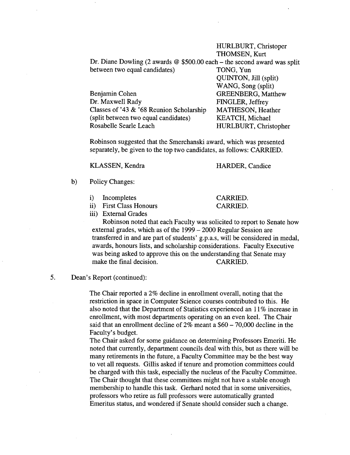### HURLBURT, Christoper THOMSEN, Kurt

QUINTON, Jill (split)

Dr. Diane Dowling (2 awards @ \$500.00 each - the second award was split between two equal candidates) TONG, Yun

|                                             | WANG, Song (split)        |
|---------------------------------------------|---------------------------|
| Benjamin Cohen                              | <b>GREENBERG, Matthew</b> |
| Dr. Maxwell Rady                            | FINGLER, Jeffrey          |
| Classes of '43 $\&$ '68 Reunion Scholarship | MATHESON, Heather         |
| (split between two equal candidates)        | <b>KEATCH, Michael</b>    |
| Rosabelle Searle Leach                      | HURLBURT, Christopher     |

Robinson suggested that the Smerchanski award, which was presented separately, be given to the top two candidates, as follows: CARRIED.

KLASSEN, Kendra

HARDER, Candice

CARRIED. CARRIED.

- b) Policy Changes:
	- $\mathbf{i}$ Incompletes
	- First Class Honours

iii) External Grades

Robinson noted that each Faculty was solicited to report to Senate how external grades, which as of the 1999 - 2000 Regular Session are transferred in and are part of students' g.p.a.s, will be considered in medal, awards, honours lists, and scholarship considerations. Faculty Executive was being asked to approve this on the understanding that Senate may make the final decision. CARRIED.

5. Dean's Report (continued):

The Chair reported a 2% decline in enrollment overall, noting that the restriction in space in Computer Science courses contributed to this. He also noted that the Department of Statistics experienced an 11% increase in enrollment, with most departments operating on an even keel. The Chair said that an enrollment decline of  $2\%$  meant a  $$60 - 70,000$  decline in the Faculty's budget.

The Chair asked for some guidance on determining Professors Emeriti. He noted that currently, department councils deal with this, but as there will be many retirements in the future, a Faculty Committee may be the best way to vet all requests. Gillis asked if tenure and promotion committees could be charged with this task, especially the nucleus of the Faculty Committee. The Chair thought that these committees might not have a stable enough membership to handle this task. Gerhard noted that in some universities, professors who retire as full professors were automatically granted Emeritus status, and wondered if Senate should consider such a change.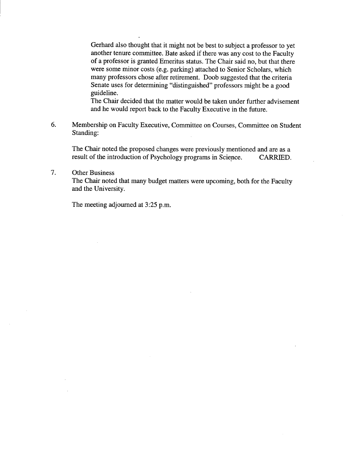Gerhard also thought that it might not be best to subject a professor to yet another tenure committee. Bate asked if there was any cost to the Faculty of a professor is granted Emeritus status. The Chair said no, but that there were some minor costs (e.g. parking) attached to Senior Scholars, which many professors chose after retirement. Doob suggested that the criteria Senate uses for determining "distinguished" professors might be a good guideline.

The Chair decided that the matter would be taken under further advisement and he would report back to the Faculty Executive in the future.

6. Membership on Faculty Executive, Committee on Courses, Committee on Student Standing:

The Chair noted the proposed changes were previously mentioned and are as a result of the introduction of Psychology programs in Science. CARRIED.

7. Other Business

> The Chair noted that many budget matters were upcoming, both for the Faculty and the University.

The meeting adjourned at *3:25* p.m.